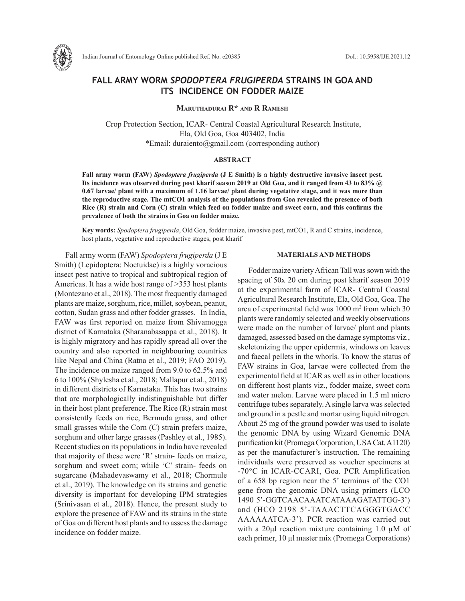

# **FALL ARMY WORM** *SPODOPTERA FRUGIPERDA* **STRAINS IN GOA AND ITS INCIDENCE ON FODDER MAIZE**

## **Maruthadurai R\* and R Ramesh**

 Crop Protection Section, ICAR- Central Coastal Agricultural Research Institute, Ela, Old Goa, Goa 403402, India \*Email: duraiento@gmail.com (corresponding author)

#### **ABSTRACT**

**Fall army worm (FAW)** *Spodoptera frugiperda* **(J E Smith) is a highly destructive invasive insect pest. Its incidence was observed during post kharif season 2019 at Old Goa, and it ranged from 43 to 83% @ 0.67 larvae/ plant with a maximum of 1.16 larvae/ plant during vegetative stage, and it was more than the reproductive stage. The mtCO1 analysis of the populations from Goa revealed the presence of both Rice (R) strain and Corn (C) strain which feed on fodder maize and sweet corn, and this confirms the prevalence of both the strains in Goa on fodder maize.** 

**Key words:** *Spodoptera frugiperda*, Old Goa, fodder maize, invasive pest, mtCO1, R and C strains, incidence, host plants, vegetative and reproductive stages, post kharif

Fall army worm (FAW) *Spodoptera frugiperda* (J E Smith) (Lepidoptera: Noctuidae) is a highly voracious insect pest native to tropical and subtropical region of Americas. It has a wide host range of >353 host plants (Montezano et al., 2018). The most frequently damaged plants are maize, sorghum, rice, millet, soybean, peanut, cotton, Sudan grass and other fodder grasses. In India, FAW was first reported on maize from Shivamogga district of Karnataka (Sharanabasappa et al., 2018). It is highly migratory and has rapidly spread all over the country and also reported in neighbouring countries like Nepal and China (Ratna et al., 2019; FAO 2019). The incidence on maize ranged from 9.0 to 62.5% and 6 to 100% (Shylesha et al., 2018; Mallapur et al., 2018) in different districts of Karnataka. This has two strains that are morphologically indistinguishable but differ in their host plant preference. The Rice (R) strain most consistently feeds on rice, Bermuda grass, and other small grasses while the Corn (C) strain prefers maize, sorghum and other large grasses (Pashley et al., 1985). Recent studies on its populations in India have revealed that majority of these were 'R' strain- feeds on maize, sorghum and sweet corn; while 'C' strain- feeds on sugarcane (Mahadevaswamy et al., 2018; Chormule et al., 2019). The knowledge on its strains and genetic diversity is important for developing IPM strategies (Srinivasan et al., 2018). Hence, the present study to explore the presence of FAW and its strains in the state of Goa on different host plants and to assess the damage incidence on fodder maize.

## **MATERIALS AND METHODS**

Fodder maize variety African Tall was sown with the spacing of 50x 20 cm during post kharif season 2019 at the experimental farm of ICAR- Central Coastal Agricultural Research Institute, Ela, Old Goa, Goa. The area of experimental field was 1000 m<sup>2</sup> from which 30 plants were randomly selected and weekly observations were made on the number of larvae/ plant and plants damaged, assessed based on the damage symptoms viz., skeletonizing the upper epidermis, windows on leaves and faecal pellets in the whorls. To know the status of FAW strains in Goa, larvae were collected from the experimental field at ICAR as well as in other locations on different host plants viz., fodder maize, sweet corn and water melon. Larvae were placed in 1.5 ml micro centrifuge tubes separately. A single larva was selected and ground in a pestle and mortar using liquid nitrogen. About 25 mg of the ground powder was used to isolate the genomic DNA by using Wizard Genomic DNA purification kit (Promega Corporation, USA Cat. A1120) as per the manufacturer's instruction. The remaining individuals were preserved as voucher specimens at -70°C in ICAR-CCARI, Goa. PCR Amplification of a 658 bp region near the 5' terminus of the CO1 gene from the genomic DNA using primers (LCO 1490 5'-GGTCAACAAATCATAAAGATATTGG-3') and (HCO 2198 5'-TAAACTTCAGGGTGACC AAAAAATCA-3'). PCR reaction was carried out with a 20 $\mu$ l reaction mixture containing 1.0  $\mu$ M of each primer, 10 µl master mix (Promega Corporations)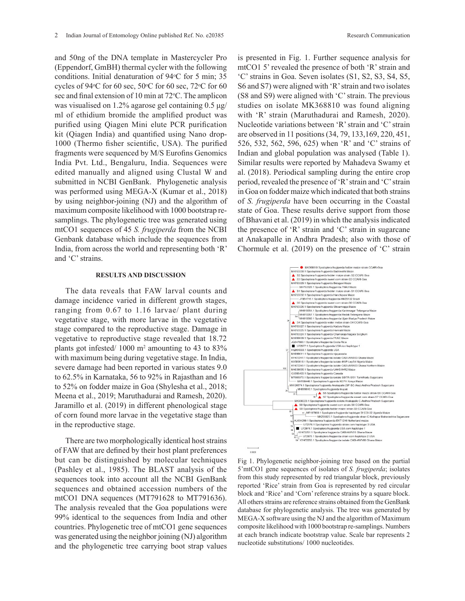and 50ng of the DNA template in Mastercycler Pro (Eppendorf, GmBH) thermal cycler with the following conditions. Initial denaturation of 94 °C for 5 min; 35 cycles of 94 $\degree$ C for 60 sec, 50 $\degree$ C for 60 sec, 72 $\degree$ C for 60 sec and final extension of 10 min at 72°C. The amplicon was visualised on 1.2% agarose gel containing 0.5 μg/ ml of ethidium bromide the amplified product was purified using Qiagen Mini elute PCR purification kit (Qiagen India) and quantified using Nano drop-1000 (Thermo fisher scientific, USA). The purified fragments were sequenced by M/S Eurofins Genomics India Pvt. Ltd., Bengaluru, India. Sequences were edited manually and aligned using Clustal W and submitted in NCBI GenBank. Phylogenetic analysis was performed using MEGA-X (Kumar et al., 2018) by using neighbor-joining (NJ) and the algorithm of maximum composite likelihood with 1000 bootstrap resamplings. The phylogenetic tree was generated using mtCO1 sequences of 45 *S. frugiperda* from the NCBI Genbank database which include the sequences from India, from across the world and representing both 'R' and 'C' strains.

#### **RESULTS AND DISCUSSION**

The data reveals that FAW larval counts and damage incidence varied in different growth stages, ranging from 0.67 to 1.16 larvae/ plant during vegetative stage, with more larvae in the vegetative stage compared to the reproductive stage. Damage in vegetative to reproductive stage revealed that 18.72 plants got infested/ 1000 m<sup>2</sup> amounting to 43 to 83% with maximum being during vegetative stage. In India, severe damage had been reported in various states 9.0 to 62.5% in Karnataka, 56 to 92% in Rajasthan and 16 to 52% on fodder maize in Goa (Shylesha et al., 2018; Meena et al., 2019; Maruthadurai and Ramesh, 2020). Jaramillo et al. (2019) in different phenological stage of corn found more larvae in the vegetative stage than in the reproductive stage.

There are two morphologically identical host strains of FAW that are defined by their host plant preferences but can be distinguished by molecular techniques (Pashley et al., 1985). The BLAST analysis of the sequences took into account all the NCBI GenBank sequences and obtained accession numbers of the mtCO1 DNA sequences (MT791628 to MT791636). The analysis revealed that the Goa populations were 99% identical to the sequences from India and other countries. Phylogenetic tree of mtCO1 gene sequences was generated using the neighbor joining (NJ) algorithm and the phylogenetic tree carrying boot strap values

is presented in Fig. 1. Further sequence analysis for mtCO1 5' revealed the presence of both 'R' strain and 'C' strains in Goa. Seven isolates (S1, S2, S3, S4, S5, S6 and S7) were aligned with 'R' strain and two isolates  $(S8 \text{ and } S9)$  were aligned with 'C' strain. The previous studies on isolate MK368810 was found aligning with 'R' strain (Maruthadurai and Ramesh, 2020). Nucleotide variations between 'R' strain and 'C' strain are observed in 11 positions (34, 79, 133, 169, 220, 451, 526, 532, 562, 596, 625) when 'R' and 'C' strains of Indian and global population was analysed (Table 1). Similar results were reported by Mahadeva Swamy et al.  $(2018)$ . Periodical sampling during the entire crop period, revealed the presence of 'R' strain and 'C' strain in Goa on fodder maize which indicated that both strains of *S. frugiperda* have been occurring in the Coastal state of Goa. These results derive support from those of Bhavani et al. (2019) in which the analysis indicated the presence of 'R' strain and 'C' strain in sugarcane at Anakapalle in Andhra Pradesh; also with those of Chormule et al. (2019) on the presence of 'C' strain  $(\text{30 and 32})$  were anglied with otide variations betw n and giobal populati  $\frac{5}{10}$ . I CHOURAI Samp



Fig 1. Phylogenetic neighbor-joining tree based on the partial 5'mtCO1 gene sequences of isolates of *S. frugiperda*; isolates from this study represented by red triangular block, previously reported 'Rice' strain from Goa is represented by red circular block and 'Rice' and 'Corn' reference strains by a square block. All others strains are reference strains obtained from the GenBank database for phylogenetic analysis. The tree was generated by MEGA-X software using the NJ and the algorithm of Maximum composite likelihood with 1000 bootstrap re-samplings. Numbers at each branch indicate bootstrap value. Scale bar represents 2 nucleotide substitutions/ 1000 nucleotides.